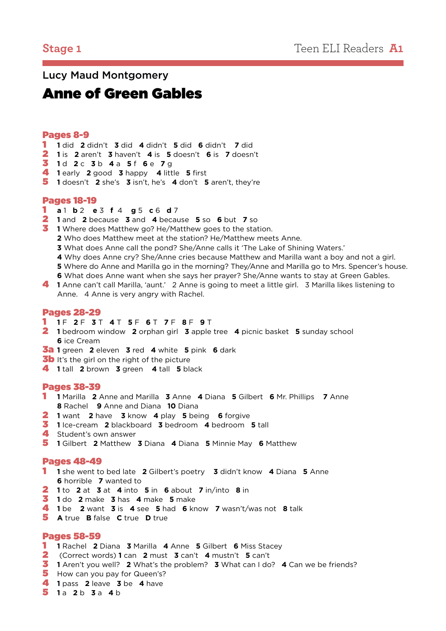## Lucy Maud Montgomery

# Anne of Green Gables

#### Pages 8-9

- **1** did **2** didn't **3** did **4** didn't **5** did **6** didn't **7** did
- **1** is **2** aren't **3** haven't **4** is **5** doesn't **6** is **7** doesn't
- **1** d **2** c **3** b **4** a **5** f **6** e **7** g
- **1** early **2** good **3** happy **4** little **5** first
- **1** doesn't **2** she's **3** isn't, he's **4** don't **5** aren't, they're

#### Pages 18-19

- **a** 1 **b** 2 **e** 3 **f** 4 **g** 5 **c** 6 **d** 7
- **1** and **2** because **3** and **4** because **5** so **6** but **7** so
- **1** Where does Matthew go? He/Matthew goes to the station.
	- Who does Matthew meet at the station? He/Matthew meets Anne.
	- What does Anne call the pond? She/Anne calls it 'The Lake of Shining Waters.'
	- Why does Anne cry? She/Anne cries because Matthew and Marilla want a boy and not a girl.
	- Where do Anne and Marilla go in the morning? They/Anne and Marilla go to Mrs. Spencer's house.
- What does Anne want when she says her prayer? She/Anne wants to stay at Green Gables. **1** Anne can't call Marilla, 'aunt.' 2 Anne is going to meet a little girl. 3 Marilla likes listening to
	- Anne. 4 Anne is very angry with Rachel.

#### Pages 28-29

#### **1** F **2** F **3** T **4** T **5** F **6** T **7** F **8** F **9** T

- **1** bedroom window **2** orphan girl **3** apple tree **4** picnic basket **5** sunday school ice Cream
- 3a **1** green **2** eleven **3** red **4** white **5** pink **6** dark
- **3b** It's the girl on the right of the picture
- **1** tall **2** brown **3** green **4** tall **5** black

#### Pages 38-39

- **1** Marilla **2** Anne and Marilla **3** Anne **4** Diana **5** Gilbert **6** Mr. Phillips **7** Anne Rachel **9** Anne and Diana **10** Diana
- **1** want **2** have **3** know **4** play **5** being **6** forgive
- **1** Ice-cream **2** blackboard **3** bedroom **4** bedroom **5** tall
- 4 Student's own answer
- **1** Gilbert **2** Matthew **3** Diana **4** Diana **5** Minnie May **6** Matthew

#### Pages 48-49

- **1** she went to bed late **2** Gilbert's poetry **3** didn't know **4** Diana **5** Anne horrible **7** wanted to
- **1** to **2** at **3** at **4** into **5** in **6** about **7** in/into **8** in
- **1** do **2** make **3** has **4** make **5** make
- **1** be **2** want **3** is **4** see **5** had **6** know **7** wasn't/was not **8** talk
- **A** true **B** false **C** true **D** true

#### Pages 58-59

- **1** Rachel **2** Diana **3** Marilla **4** Anne **5** Gilbert **6** Miss Stacey
- (Correct words) **1** can **2** must **3** can't **4** mustn't **5** can't
- **1** Aren't you well? **2** What's the problem? **3** What can I do? **4** Can we be friends?
- How can you pay for Queen's?
- **1** pass **2** leave **3** be **4** have
- **1** a **2** b **3** a **4** b